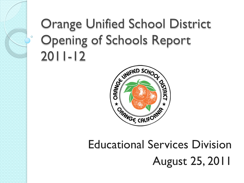### Orange Unified School District Opening of Schools Report 2011-12



#### Educational Services Division August 25, 2011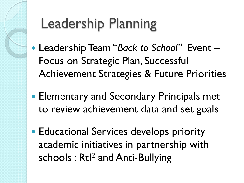## Leadership Planning

- Leadership Team "*Back to School"* Event Focus on Strategic Plan, Successful Achievement Strategies & Future Priorities
- **Elementary and Secondary Principals met** to review achievement data and set goals
- Educational Services develops priority academic initiatives in partnership with schools: Rtl<sup>2</sup> and Anti-Bullying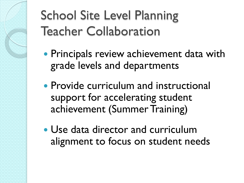School Site Level Planning Teacher Collaboration

- Principals review achievement data with grade levels and departments
- **Provide curriculum and instructional** support for accelerating student achievement (Summer Training)
- Use data director and curriculum alignment to focus on student needs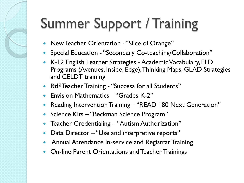# Summer Support / Training

- New Teacher Orientation "Slice of Orange"
- Special Education "Secondary Co-teaching/Collaboration"
- K-12 English Learner Strategies Academic Vocabulary, ELD Programs (Avenues, Inside, Edge), Thinking Maps, GLAD Strategies and CELDT training
- Rtl<sup>2</sup> Teacher Training "Success for all Students"
- Envision Mathematics "Grades K-2"
- Reading Intervention Training "READ 180 Next Generation"
- Science Kits "Beckman Science Program"
- Teacher Credentialing "Autism Authorization"
- Data Director "Use and interpretive reports"
- **Annual Attendance In-service and Registrar Training**
- On-line Parent Orientations and Teacher Trainings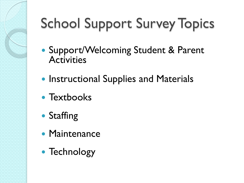# School Support Survey Topics

- Support/Welcoming Student & Parent **Activities**
- **Instructional Supplies and Materials**
- Textbooks
- Staffing
- Maintenance
- Technology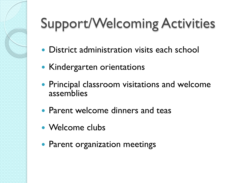# Support/Welcoming Activities

- District administration visits each school
- Kindergarten orientations
- **Principal classroom visitations and welcome** assemblies
- Parent welcome dinners and teas
- Welcome clubs
- Parent organization meetings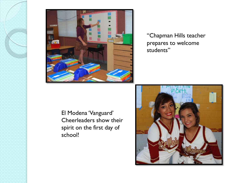

"Chapman Hills teacher prepares to welcome students"

El Modena 'Vanguard' Cheerleaders show their spirit on the first day of school!

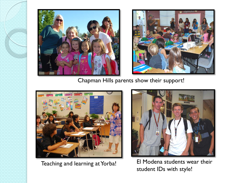



Chapman Hills parents show their support!





El Modena students wear their Teaching and learning at Yorba!<br>Student IDs with style!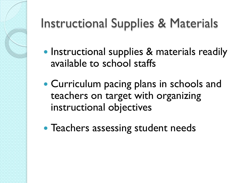### Instructional Supplies & Materials

- Instructional supplies & materials readily available to school staffs
- Curriculum pacing plans in schools and teachers on target with organizing instructional objectives
- Teachers assessing student needs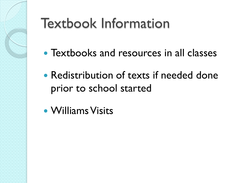

## Textbook Information

- Textbooks and resources in all classes
- Redistribution of texts if needed done prior to school started
- Williams Visits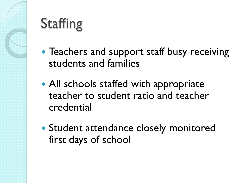## **Staffing**

- Teachers and support staff busy receiving students and families
- All schools staffed with appropriate teacher to student ratio and teacher credential
- Student attendance closely monitored first days of school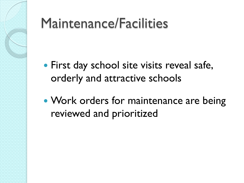### Maintenance/Facilities

- First day school site visits reveal safe, orderly and attractive schools
- Work orders for maintenance are being reviewed and prioritized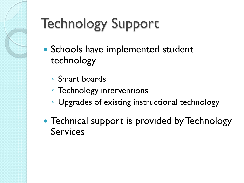# Technology Support

- Schools have implemented student technology
	- Smart boards
	- Technology interventions
	- Upgrades of existing instructional technology
- Technical support is provided by Technology Services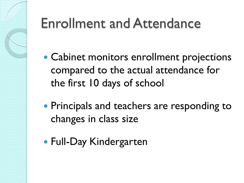## Enrollment and Attendance

- Cabinet monitors enrollment projections compared to the actual attendance for the first 10 days of school
- Principals and teachers are responding to changes in class size
- Full-Day Kindergarten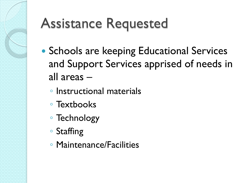## Assistance Requested

- Schools are keeping Educational Services and Support Services apprised of needs in all areas –
	- Instructional materials
	- Textbooks
	- Technology
	- Staffing
	- Maintenance/Facilities